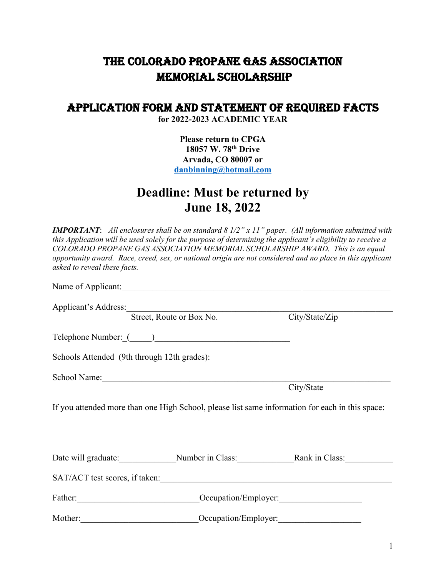## THE Colorado PROPANE GAS ASSOCIATION memorial SCHOLARSHIP

## APPLICATION FORM and STATEMENT of REQUIRED FACTS

**for 2022-2023 ACADEMIC YEAR**

**Please return to CPGA 18057 W. 78th Drive Arvada, CO 80007 or [danbinning@hotmail.com](mailto:danbinning@hotmail.com)**

## **Deadline: Must be returned by June 18, 2022**

| asked to reveal these facts. | <b>IMPORTANT:</b> All enclosures shall be on standard $81/2$ " x 11" paper. (All information submitted with<br>this Application will be used solely for the purpose of determining the applicant's eligibility to receive a<br>COLORADO PROPANE GAS ASSOCIATION MEMORIAL SCHOLARSHIP AWARD. This is an equal<br>opportunity award. Race, creed, sex, or national origin are not considered and no place in this applicant |                |
|------------------------------|---------------------------------------------------------------------------------------------------------------------------------------------------------------------------------------------------------------------------------------------------------------------------------------------------------------------------------------------------------------------------------------------------------------------------|----------------|
|                              |                                                                                                                                                                                                                                                                                                                                                                                                                           |                |
| Applicant's Address:         |                                                                                                                                                                                                                                                                                                                                                                                                                           |                |
|                              | Street, Route or Box No.                                                                                                                                                                                                                                                                                                                                                                                                  | City/State/Zip |
|                              |                                                                                                                                                                                                                                                                                                                                                                                                                           |                |
|                              | Schools Attended (9th through 12th grades):                                                                                                                                                                                                                                                                                                                                                                               |                |
|                              |                                                                                                                                                                                                                                                                                                                                                                                                                           |                |
|                              |                                                                                                                                                                                                                                                                                                                                                                                                                           | City/State     |
|                              | If you attended more than one High School, please list same information for each in this space:                                                                                                                                                                                                                                                                                                                           |                |
|                              | Date will graduate: Number in Class: Rank in Class:                                                                                                                                                                                                                                                                                                                                                                       |                |
|                              | SAT/ACT test scores, if taken:                                                                                                                                                                                                                                                                                                                                                                                            |                |
|                              | Occupation/Employer:                                                                                                                                                                                                                                                                                                                                                                                                      |                |
| Mother:                      | Occupation/Employer:                                                                                                                                                                                                                                                                                                                                                                                                      |                |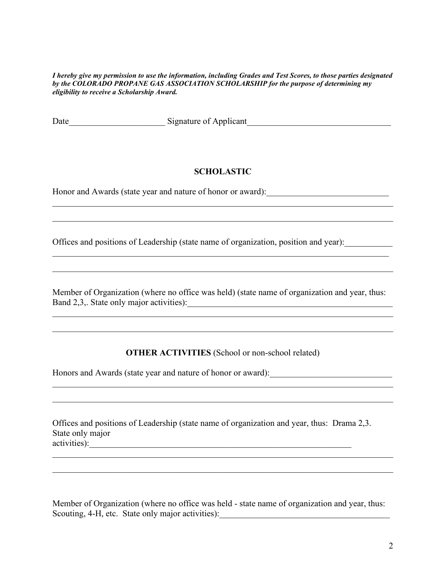*I hereby give my permission to use the information, including Grades and Test Scores, to those parties designated by the COLORADO PROPANE GAS ASSOCIATION SCHOLARSHIP for the purpose of determining my eligibility to receive a Scholarship Award.*

Date Signature of Applicant

## **SCHOLASTIC**

\_\_\_\_\_\_\_\_\_\_\_\_\_\_\_\_\_\_\_\_\_\_\_\_\_\_\_\_\_\_\_\_\_\_\_\_\_\_\_\_\_\_\_\_\_\_\_\_\_\_\_\_\_\_\_\_\_\_\_\_\_\_\_\_\_\_\_\_\_\_\_\_\_\_\_\_\_\_

Honor and Awards (state year and nature of honor or award):

Offices and positions of Leadership (state name of organization, position and year):

Member of Organization (where no office was held) (state name of organization and year, thus: Band 2,3,. State only major activities):\_\_\_\_\_\_\_\_\_\_\_\_\_\_\_\_\_\_\_\_\_\_\_\_\_\_\_\_\_\_\_\_\_\_\_\_\_\_\_\_\_\_\_\_\_\_\_

\_\_\_\_\_\_\_\_\_\_\_\_\_\_\_\_\_\_\_\_\_\_\_\_\_\_\_\_\_\_\_\_\_\_\_\_\_\_\_\_\_\_\_\_\_\_\_\_\_\_\_\_\_\_\_\_\_\_\_\_\_\_\_\_\_\_\_\_\_\_\_\_\_\_\_\_\_\_

**OTHER ACTIVITIES** (School or non-school related)

\_\_\_\_\_\_\_\_\_\_\_\_\_\_\_\_\_\_\_\_\_\_\_\_\_\_\_\_\_\_\_\_\_\_\_\_\_\_\_\_\_\_\_\_\_\_\_\_\_\_\_\_\_\_\_\_\_\_\_\_\_\_\_\_\_\_\_\_\_\_\_\_\_\_\_\_\_\_

Honors and Awards (state year and nature of honor or award):

Offices and positions of Leadership (state name of organization and year, thus: Drama 2,3. State only major activities):\_\_\_\_\_\_\_\_\_\_\_\_\_\_\_\_\_\_\_\_\_\_\_\_\_\_\_\_\_\_\_\_\_\_\_\_\_\_\_\_\_\_\_\_\_\_\_\_\_\_\_\_\_\_\_\_\_\_\_\_

Member of Organization (where no office was held - state name of organization and year, thus: Scouting, 4-H, etc. State only major activities): \_\_\_\_\_\_\_\_\_\_\_\_\_\_\_\_\_\_\_\_\_\_\_\_\_\_\_\_\_\_

\_\_\_\_\_\_\_\_\_\_\_\_\_\_\_\_\_\_\_\_\_\_\_\_\_\_\_\_\_\_\_\_\_\_\_\_\_\_\_\_\_\_\_\_\_\_\_\_\_\_\_\_\_\_\_\_\_\_\_\_\_\_\_\_\_\_\_\_\_\_\_\_\_\_\_\_\_\_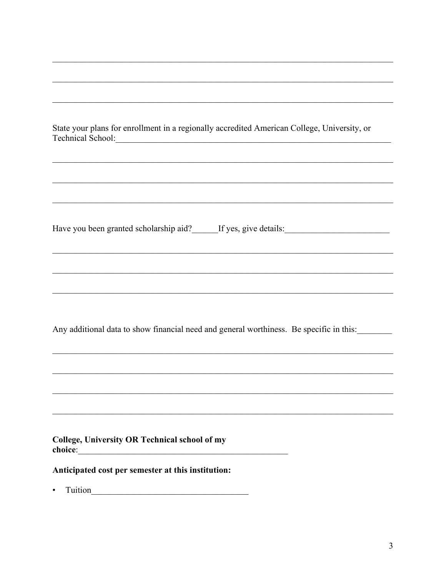| State your plans for enrollment in a regionally accredited American College, University, or |
|---------------------------------------------------------------------------------------------|
| Technical School:                                                                           |

Have you been granted scholarship aid? If yes, give details:

Any additional data to show financial need and general worthiness. Be specific in this:

College, University OR Technical school of my choice:

Anticipated cost per semester at this institution:

 $\bullet$